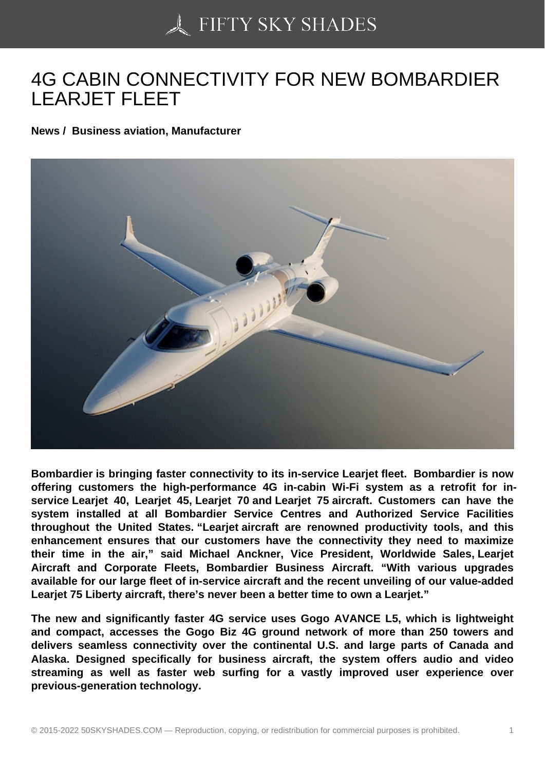## [4G CABIN CONNECTI](https://50skyshades.com)VITY FOR NEW BOMBARDIER LEARJET FLEET

News / Business aviation, Manufacturer

Bombardier is bringing faster connectivity to its in-service Learjet fleet. Bombardier is now offering customers the high-performance 4G in-cabin Wi-Fi system as a retrofit for inservice Learjet 40, Learjet 45, Learjet 70 and Learjet 75 aircraft. Customers can have the system installed at all Bombardier Service Centres and Authorized Service Facilities throughout the United States. "Learjet aircraft are renowned productivity tools, and this enhancement ensures that our customers have the connectivity they need to maximize their time in the air," said Michael Anckner, Vice President, Worldwide Sales, Learjet Aircraft and Corporate Fleets, Bombardier Business Aircraft. "With various upgrades available for our large fleet of in-service aircraft and the recent unveiling of our value-added Learjet 75 Liberty aircraft, there's never been a better time to own a Learjet."

The new and significantly faster 4G service uses Gogo AVANCE L5, which is lightweight and compact, accesses the Gogo Biz 4G ground network of more than 250 towers and delivers seamless connectivity over the continental U.S. and large parts of Canada and Alaska. Designed specifically for business aircraft, the system offers audio and video streaming as well as faster web surfing for a vastly improved user experience over previous-generation technology.